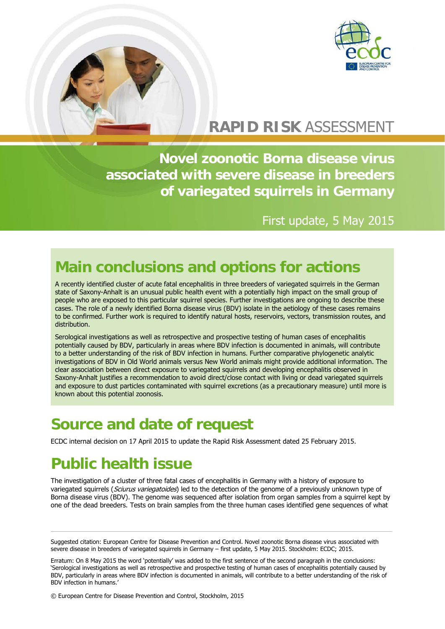

# **RAPID RISK** ASSESSMENT

**Novel zoonotic Borna disease virus associated with severe disease in breeders of variegated squirrels in Germany**

### First update, 5 May 2015

# **Main conclusions and options for actions**

A recently identified cluster of acute fatal encephalitis in three breeders of variegated squirrels in the German state of Saxony-Anhalt is an unusual public health event with a potentially high impact on the small group of people who are exposed to this particular squirrel species. Further investigations are ongoing to describe these cases. The role of a newly identified Borna disease virus (BDV) isolate in the aetiology of these cases remains to be confirmed. Further work is required to identify natural hosts, reservoirs, vectors, transmission routes, and distribution.

Serological investigations as well as retrospective and prospective testing of human cases of encephalitis potentially caused by BDV, particularly in areas where BDV infection is documented in animals, will contribute to a better understanding of the risk of BDV infection in humans. Further comparative phylogenetic analytic investigations of BDV in Old World animals versus New World animals might provide additional information. The clear association between direct exposure to variegated squirrels and developing encephalitis observed in Saxony-Anhalt justifies a recommendation to avoid direct/close contact with living or dead variegated squirrels and exposure to dust particles contaminated with squirrel excretions (as a precautionary measure) until more is known about this potential zoonosis.

### **Source and date of request**

ECDC internal decision on 17 April 2015 to update the Rapid Risk Assessment dated 25 February 2015.

# **Public health issue**

The investigation of a cluster of three fatal cases of encephalitis in Germany with a history of exposure to variegated squirrels (Sciurus variegatoides) led to the detection of the genome of a previously unknown type of Borna disease virus (BDV). The genome was sequenced after isolation from organ samples from a squirrel kept by one of the dead breeders. Tests on brain samples from the three human cases identified gene sequences of what

Suggested citation: European Centre for Disease Prevention and Control. Novel zoonotic Borna disease virus associated with severe disease in breeders of variegated squirrels in Germany – first update, 5 May 2015. Stockholm: ECDC; 2015.

Erratum: On 8 May 2015 the word 'potentially' was added to the first sentence of the second paragraph in the conclusions: 'Serological investigations as well as retrospective and prospective testing of human cases of encephalitis potentially caused by BDV, particularly in areas where BDV infection is documented in animals, will contribute to a better understanding of the risk of BDV infection in humans.'

© European Centre for Disease Prevention and Control, Stockholm, 2015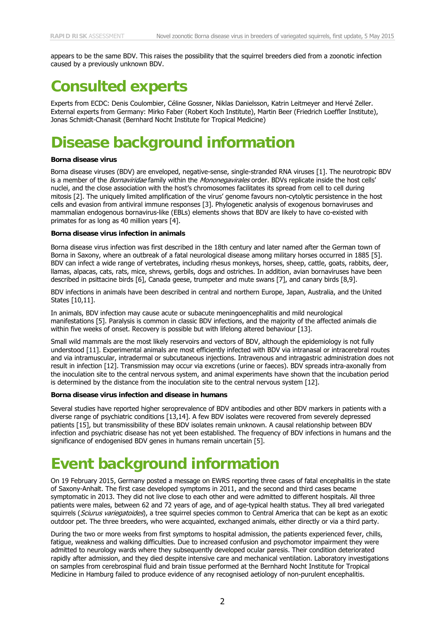appears to be the same BDV. This raises the possibility that the squirrel breeders died from a zoonotic infection caused by a previously unknown BDV.

### **Consulted experts**

Experts from ECDC: Denis Coulombier, Céline Gossner, Niklas Danielsson, Katrin Leitmeyer and Hervé Zeller. External experts from Germany: Mirko Faber (Robert Koch Institute), Martin Beer (Friedrich Loeffler Institute), Jonas Schmidt-Chanasit (Bernhard Nocht Institute for Tropical Medicine)

# **Disease background information**

#### **Borna disease virus**

Borna disease viruses (BDV) are enveloped, negative-sense, single-stranded RNA viruses [\[1\]](#page-3-0). The neurotropic BDV is a member of the Bornaviridae family within the Mononegavirales order. BDVs replicate inside the host cells' nuclei, and the close association with the host's chromosomes facilitates its spread from cell to cell during mitosis [\[2\]](#page-3-1). The uniquely limited amplification of the virus' genome favours non-cytolytic persistence in the host cells and evasion from antiviral immune responses [\[3\]](#page-3-2). Phylogenetic analysis of exogenous bornaviruses and mammalian endogenous bornavirus-like (EBLs) elements shows that BDV are likely to have co-existed with primates for as long as 40 million years [\[4\]](#page-3-3).

#### **Borna disease virus infection in animals**

Borna disease virus infection was first described in the 18th century and later named after the German town of Borna in Saxony, where an outbreak of a fatal neurological disease among military horses occurred in 1885 [\[5\]](#page-3-4). BDV can infect a wide range of vertebrates, including rhesus monkeys, horses, sheep, cattle, goats, rabbits, deer, llamas, alpacas, cats, rats, mice, shrews, gerbils, dogs and ostriches. In addition, avian bornaviruses have been described in psittacine birds [\[6\]](#page-3-5), Canada geese, trumpeter and mute swans [\[7\]](#page-3-6), and canary birds [\[8,](#page-3-7)[9\]](#page-3-8).

BDV infections in animals have been described in central and northern Europe, Japan, Australia, and the United States [\[10](#page-3-9)[,11\]](#page-3-10).

In animals, BDV infection may cause acute or subacute meningoencephalitis and mild neurological manifestations [\[5\]](#page-3-4). Paralysis is common in classic BDV infections, and the majority of the affected animals die within five weeks of onset. Recovery is possible but with lifelong altered behaviour [13].

Small wild mammals are the most likely reservoirs and vectors of BDV, although the epidemiology is not fully understood [11]. Experimental animals are most efficiently infected with BDV via intranasal or intracerebral routes and via intramuscular, intradermal or subcutaneous injections. Intravenous and intragastric administration does not result in infection [\[12\]](#page-3-11). Transmission may occur via excretions (urine or faeces). BDV spreads intra-axonally from the inoculation site to the central nervous system, and animal experiments have shown that the incubation period is determined by the distance from the inoculation site to the central nervous system [\[12\]](#page-3-11).

#### **Borna disease virus infection and disease in humans**

Several studies have reported higher seroprevalence of BDV antibodies and other BDV markers in patients with a diverse range of psychiatric conditions [\[13,](#page-3-12)[14\]](#page-3-13). A few BDV isolates were recovered from severely depressed patients [\[15\]](#page-3-14), but transmissibility of these BDV isolates remain unknown. A causal relationship between BDV infection and psychiatric disease has not yet been established. The frequency of BDV infections in humans and the significance of endogenised BDV genes in humans remain uncertain [\[5\]](#page-3-4).

## **Event background information**

On 19 February 2015, Germany posted a message on EWRS reporting three cases of fatal encephalitis in the state of Saxony-Anhalt. The first case developed symptoms in 2011, and the second and third cases became symptomatic in 2013. They did not live close to each other and were admitted to different hospitals. All three patients were males, between 62 and 72 years of age, and of age-typical health status. They all bred variegated squirrels (Sciurus variegatoides), a tree squirrel species common to Central America that can be kept as an exotic outdoor pet. The three breeders, who were acquainted, exchanged animals, either directly or via a third party.

During the two or more weeks from first symptoms to hospital admission, the patients experienced fever, chills, fatigue, weakness and walking difficulties. Due to increased confusion and psychomotor impairment they were admitted to neurology wards where they subsequently developed ocular paresis. Their condition deteriorated rapidly after admission, and they died despite intensive care and mechanical ventilation. Laboratory investigations on samples from cerebrospinal fluid and brain tissue performed at the Bernhard Nocht Institute for Tropical Medicine in Hamburg failed to produce evidence of any recognised aetiology of non-purulent encephalitis.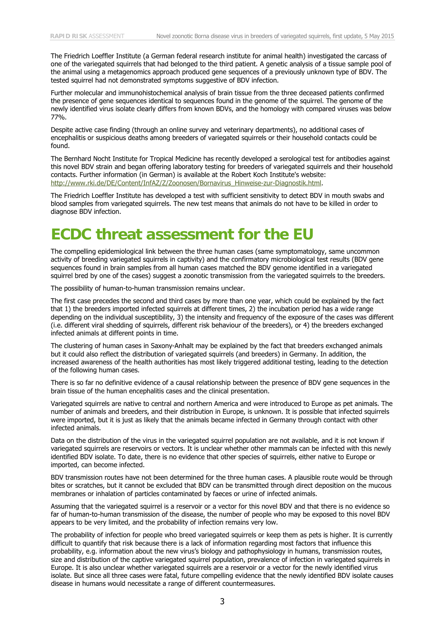The Friedrich Loeffler Institute (a German federal research institute for animal health) investigated the carcass of one of the variegated squirrels that had belonged to the third patient. A genetic analysis of a tissue sample pool of the animal using a metagenomics approach produced gene sequences of a previously unknown type of BDV. The tested squirrel had not demonstrated symptoms suggestive of BDV infection.

Further molecular and immunohistochemical analysis of brain tissue from the three deceased patients confirmed the presence of gene sequences identical to sequences found in the genome of the squirrel. The genome of the newly identified virus isolate clearly differs from known BDVs, and the homology with compared viruses was below 77%.

Despite active case finding (through an online survey and veterinary departments), no additional cases of encephalitis or suspicious deaths among breeders of variegated squirrels or their household contacts could be found.

The Bernhard Nocht Institute for Tropical Medicine has recently developed a serological test for antibodies against this novel BDV strain and began offering laboratory testing for breeders of variegated squirrels and their household contacts. Further information (in German) is available at the Robert Koch Institute's website: [http://www.rki.de/DE/Content/InfAZ/Z/Zoonosen/Bornavirus\\_Hinweise-zur-Diagnostik.html.](http://www.rki.de/DE/Content/InfAZ/Z/Zoonosen/Bornavirus_Hinweise-zur-Diagnostik.html)

The Friedrich Loeffler Institute has developed a test with sufficient sensitivity to detect BDV in mouth swabs and blood samples from variegated squirrels. The new test means that animals do not have to be killed in order to diagnose BDV infection.

### **ECDC threat assessment for the EU**

The compelling epidemiological link between the three human cases (same symptomatology, same uncommon activity of breeding variegated squirrels in captivity) and the confirmatory microbiological test results (BDV gene sequences found in brain samples from all human cases matched the BDV genome identified in a variegated squirrel bred by one of the cases) suggest a zoonotic transmission from the variegated squirrels to the breeders.

The possibility of human-to-human transmission remains unclear.

The first case precedes the second and third cases by more than one year, which could be explained by the fact that 1) the breeders imported infected squirrels at different times, 2) the incubation period has a wide range depending on the individual susceptibility, 3) the intensity and frequency of the exposure of the cases was different (i.e. different viral shedding of squirrels, different risk behaviour of the breeders), or 4) the breeders exchanged infected animals at different points in time.

The clustering of human cases in Saxony-Anhalt may be explained by the fact that breeders exchanged animals but it could also reflect the distribution of variegated squirrels (and breeders) in Germany. In addition, the increased awareness of the health authorities has most likely triggered additional testing, leading to the detection of the following human cases.

There is so far no definitive evidence of a causal relationship between the presence of BDV gene sequences in the brain tissue of the human encephalitis cases and the clinical presentation.

Variegated squirrels are native to central and northern America and were introduced to Europe as pet animals. The number of animals and breeders, and their distribution in Europe, is unknown. It is possible that infected squirrels were imported, but it is just as likely that the animals became infected in Germany through contact with other infected animals.

Data on the distribution of the virus in the variegated squirrel population are not available, and it is not known if variegated squirrels are reservoirs or vectors. It is unclear whether other mammals can be infected with this newly identified BDV isolate. To date, there is no evidence that other species of squirrels, either native to Europe or imported, can become infected.

BDV transmission routes have not been determined for the three human cases. A plausible route would be through bites or scratches, but it cannot be excluded that BDV can be transmitted through direct deposition on the mucous membranes or inhalation of particles contaminated by faeces or urine of infected animals.

Assuming that the variegated squirrel is a reservoir or a vector for this novel BDV and that there is no evidence so far of human-to-human transmission of the disease, the number of people who may be exposed to this novel BDV appears to be very limited, and the probability of infection remains very low.

The probability of infection for people who breed variegated squirrels or keep them as pets is higher. It is currently difficult to quantify that risk because there is a lack of information regarding most factors that influence this probability, e.g. information about the new virus's biology and pathophysiology in humans, transmission routes, size and distribution of the captive variegated squirrel population, prevalence of infection in variegated squirrels in Europe. It is also unclear whether variegated squirrels are a reservoir or a vector for the newly identified virus isolate. But since all three cases were fatal, future compelling evidence that the newly identified BDV isolate causes disease in humans would necessitate a range of different countermeasures.